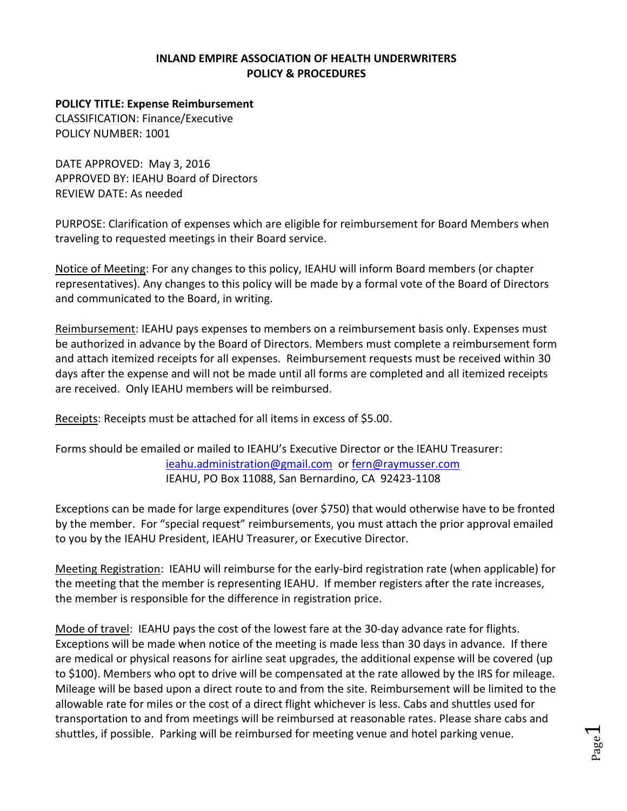## **INLAND EMPIRE ASSOCIATION OF HEALTH UNDERWRITERS POLICY & PROCEDURES**

## **POLICY TITLE: Expense Reimbursement**

CLASSIFICATION: Finance/Executive POLICY NUMBER: 1001

DATE APPROVED: May 3, 2016 APPROVED BY: IEAHU Board of Directors REVIEW DATE: As needed

PURPOSE: Clarification of expenses which are eligible for reimbursement for Board Members when traveling to requested meetings in their Board service.

Notice of Meeting: For any changes to this policy, IEAHU will inform Board members (or chapter representatives). Any changes to this policy will be made by a formal vote of the Board of Directors and communicated to the Board, in writing.

Reimbursement: IEAHU pays expenses to members on a reimbursement basis only. Expenses must be authorized in advance by the Board of Directors. Members must complete a reimbursement form and attach itemized receipts for all expenses. Reimbursement requests must be received within 30 days after the expense and will not be made until all forms are completed and all itemized receipts are received. Only IEAHU members will be reimbursed.

Receipts: Receipts must be attached for all items in excess of \$5.00.

Forms should be emailed or mailed to IEAHU's Executive Director or the IEAHU Treasurer: [ieahu.administration@gmail.com](mailto:ieahu.administration@gmail.com) or [fern@raymusser.com](mailto:fern@raymusser.com) IEAHU, PO Box 11088, San Bernardino, CA 92423-1108

Exceptions can be made for large expenditures (over \$750) that would otherwise have to be fronted by the member. For "special request" reimbursements, you must attach the prior approval emailed to you by the IEAHU President, IEAHU Treasurer, or Executive Director.

Meeting Registration: IEAHU will reimburse for the early-bird registration rate (when applicable) for the meeting that the member is representing IEAHU. If member registers after the rate increases, the member is responsible for the difference in registration price.

Mode of travel: IEAHU pays the cost of the lowest fare at the 30-day advance rate for flights. Exceptions will be made when notice of the meeting is made less than 30 days in advance. If there are medical or physical reasons for airline seat upgrades, the additional expense will be covered (up to \$100). Members who opt to drive will be compensated at the rate allowed by the IRS for mileage. Mileage will be based upon a direct route to and from the site. Reimbursement will be limited to the allowable rate for miles or the cost of a direct flight whichever is less. Cabs and shuttles used for transportation to and from meetings will be reimbursed at reasonable rates. Please share cabs and shuttles, if possible. Parking will be reimbursed for meeting venue and hotel parking venue.